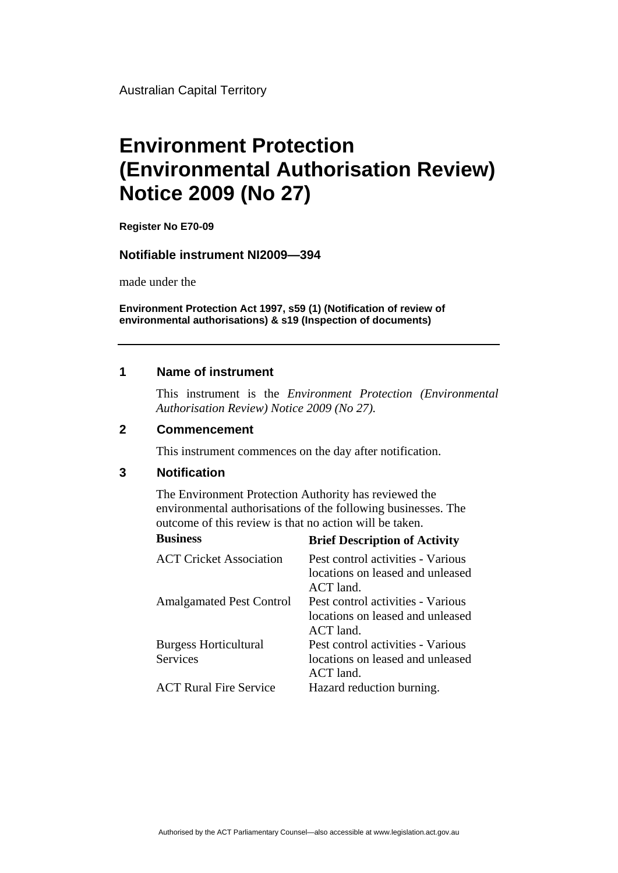Australian Capital Territory

# **Environment Protection (Environmental Authorisation Review) Notice 2009 (No 27)**

**Register No E70-09**

#### **Notifiable instrument NI2009—394**

made under the

**Environment Protection Act 1997, s59 (1) (Notification of review of environmental authorisations) & s19 (Inspection of documents)**

### **1 Name of instrument**

This instrument is the *Environment Protection (Environmental Authorisation Review) Notice 2009 (No 27).* 

#### **2 Commencement**

This instrument commences on the day after notification.

## **3 Notification**

The Environment Protection Authority has reviewed the environmental authorisations of the following businesses. The outcome of this review is that no action will be taken.

| <b>Business</b>                          | <b>Brief Description of Activity</b>                                                 |
|------------------------------------------|--------------------------------------------------------------------------------------|
| <b>ACT Cricket Association</b>           | Pest control activities - Various<br>locations on leased and unleased<br>ACT land.   |
| <b>Amalgamated Pest Control</b>          | Pest control activities - Various<br>locations on leased and unleased<br>$ACT$ land. |
| <b>Burgess Horticultural</b><br>Services | Pest control activities - Various<br>locations on leased and unleased<br>$ACT$ land. |
| <b>ACT Rural Fire Service</b>            | Hazard reduction burning.                                                            |